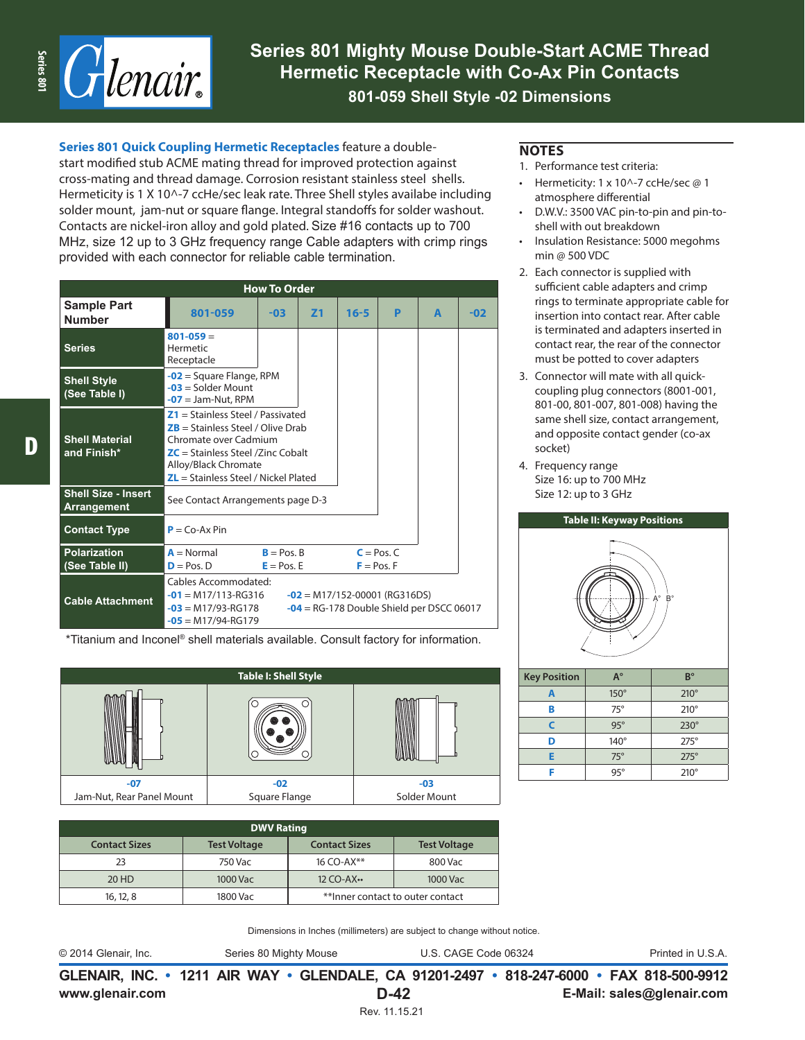

**Series 801 Mighty Mouse Double-Start ACME Thread Hermetic Receptacle with Co-Ax Pin Contacts 801-059 Shell Style -02 Dimensions**

**Series 801 Quick Coupling Hermetic Receptacles** feature a double-

start modified stub ACME mating thread for improved protection against cross-mating and thread damage. Corrosion resistant stainless steel shells. Hermeticity is 1 X 10^-7 ccHe/sec leak rate. Three Shell styles availabe including solder mount, jam-nut or square flange. Integral standoffs for solder washout. Contacts are nickel-iron alloy and gold plated. Size #16 contacts up to 700 MHz, size 12 up to 3 GHz frequency range Cable adapters with crimp rings provided with each connector for reliable cable termination.

| <b>How To Order</b>                              |                                                                                                                                                                                                              |                            |   |   |       |  |  |  |
|--------------------------------------------------|--------------------------------------------------------------------------------------------------------------------------------------------------------------------------------------------------------------|----------------------------|---|---|-------|--|--|--|
| <b>Sample Part</b><br><b>Number</b>              | 801-059<br>$16 - 5$<br>Z <sub>1</sub><br>$-03$                                                                                                                                                               |                            | P | A | $-02$ |  |  |  |
| <b>Series</b>                                    | $801 - 059 =$<br>Hermetic<br>Receptacle                                                                                                                                                                      |                            |   |   |       |  |  |  |
| <b>Shell Style</b><br>(See Table I)              | $-03$ = Solder Mount<br>$-07$ = Jam-Nut, RPM                                                                                                                                                                 | $-02$ = Square Flange, RPM |   |   |       |  |  |  |
| <b>Shell Material</b><br>and Finish*             | $Z1 =$ Stainless Steel / Passivated<br>$ZB$ = Stainless Steel / Olive Drab<br>Chromate over Cadmium<br>$ZC$ = Stainless Steel /Zinc Cobalt<br>Alloy/Black Chromate<br>$ZL =$ Stainless Steel / Nickel Plated |                            |   |   |       |  |  |  |
| <b>Shell Size - Insert</b><br><b>Arrangement</b> | See Contact Arrangements page D-3                                                                                                                                                                            |                            |   |   |       |  |  |  |
| <b>Contact Type</b>                              | $P = Co-Ax Pin$                                                                                                                                                                                              |                            |   |   |       |  |  |  |
| <b>Polarization</b><br>(See Table II)            | $A = Normal$<br>$B = P \circ S$ . $B$<br>$C = Pos.C$<br>$D = Pos. D$<br>$E = Pos. E$<br>$F = Pos. F$                                                                                                         |                            |   |   |       |  |  |  |
| <b>Cable Attachment</b>                          | Cables Accommodated:<br>$-01$ = M17/113-RG316<br>$-02$ = M17/152-00001 (RG316DS)<br>$-03$ = M17/93-RG178<br>$-04$ = RG-178 Double Shield per DSCC 06017<br>$-05$ = M17/94-RG179                              |                            |   |   |       |  |  |  |

\*Titanium and Inconel® shell materials available. Consult factory for information.

| <b>Table I: Shell Style</b> |               |              |  |  |  |  |  |
|-----------------------------|---------------|--------------|--|--|--|--|--|
|                             | 6<br>(O)<br>o |              |  |  |  |  |  |
| $-07$                       | $-02$         | $-03$        |  |  |  |  |  |
| Jam-Nut, Rear Panel Mount   | Square Flange | Solder Mount |  |  |  |  |  |

| <b>DWV Rating</b>    |                     |                                   |                     |  |  |
|----------------------|---------------------|-----------------------------------|---------------------|--|--|
| <b>Contact Sizes</b> | <b>Test Voltage</b> | <b>Contact Sizes</b>              | <b>Test Voltage</b> |  |  |
| 23                   | 750 Vac             | 16 CO-AX**                        | 800 Vac             |  |  |
| 20 HD                | 1000 Vac            | 12 CO-AX ••<br>1000 Vac           |                     |  |  |
| 16, 12, 8            | 1800 Vac            | ** Inner contact to outer contact |                     |  |  |

Dimensions in Inches (millimeters) are subject to change without notice.

© 2014 Glenair, Inc. Series 80 Mighty Mouse U.S. CAGE Code 06324 Printed in U.S.A.

**www.glenair.com E-Mail: sales@glenair.com GLENAIR, INC. • 1211 AIR WAY • GLENDALE, CA 91201-2497 • 818-247-6000 • FAX 818-500-9912 D-42**

- 1. Performance test criteria:
- Hermeticity: 1 x 10^-7 ccHe/sec @ 1 atmosphere differential
- D.W.V.: 3500 VAC pin-to-pin and pin-toshell with out breakdown
- Insulation Resistance: 5000 megohms min @ 500 VDC
- 2. Each connector is supplied with sufficient cable adapters and crimp rings to terminate appropriate cable for insertion into contact rear. After cable is terminated and adapters inserted in contact rear, the rear of the connector must be potted to cover adapters
- 3. Connector will mate with all quickcoupling plug connectors (8001-001, 801-00, 801-007, 801-008) having the same shell size, contact arrangement, and opposite contact gender (co-ax socket)
- 4. Frequency range Size 16: up to 700 MHz Size 12: up to 3 GHz



| <b>Key Position</b> | $A^{\circ}$ | $B^{\circ}$ |
|---------------------|-------------|-------------|
| А                   | $150^\circ$ | $210^\circ$ |
| в                   | $75^\circ$  | $210^\circ$ |
| г                   | $95^\circ$  | $230^\circ$ |
| D                   | $140^\circ$ | $275^\circ$ |
| F                   | $75^\circ$  | $275^\circ$ |
|                     | $95^\circ$  | $210^\circ$ |

D,

Rev. 11.15.21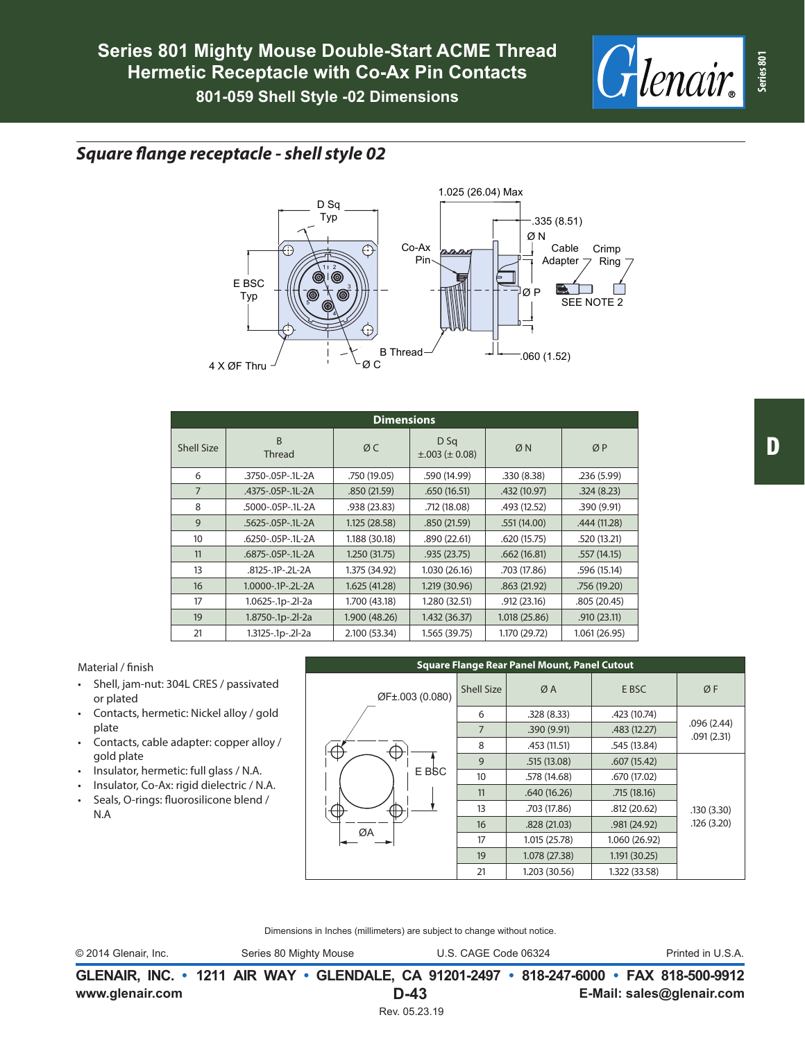

## *Square flange receptacle - shell style 02*



| <b>Dimensions</b> |                         |               |                                   |               |              |  |  |
|-------------------|-------------------------|---------------|-----------------------------------|---------------|--------------|--|--|
| Shell Size        | B<br><b>Thread</b>      | ØC            | D Sq<br>$\pm .003$ ( $\pm 0.08$ ) | ØN            | ØP           |  |  |
| 6                 | .3750-.05P-.1L-2A       | .750 (19.05)  | .590 (14.99)                      | .330(8.38)    | .236(5.99)   |  |  |
| $\overline{7}$    | .4375-.05P-.1L-2A       | .850(21.59)   | .650(16.51)                       | .432 (10.97)  | .324(8.23)   |  |  |
| 8                 | .5000-.05P-.1L-2A       | .938 (23.83)  | .712 (18.08)                      | .493 (12.52)  | .390(9.91)   |  |  |
| 9                 | .5625-.05P-.1L-2A       | 1.125(28.58)  | .850(21.59)                       | .551(14.00)   | .444 (11.28) |  |  |
| 10                | .6250-.05P-.1L-2A       | 1.188 (30.18) | .890(22.61)                       | .620(15.75)   | .520 (13.21) |  |  |
| 11                | .6875-.05P-.1L-2A       | 1.250 (31.75) | .935(23.75)                       | .662(16.81)   | .557(14.15)  |  |  |
| 13                | .8125-.1P-.2L-2A        | 1.375 (34.92) | 1.030(26.16)                      | .703 (17.86)  | .596 (15.14) |  |  |
| 16                | $1.0000 - 1P - 2L - 2A$ | 1.625 (41.28) | 1.219 (30.96)                     | .863(21.92)   | .756 (19.20) |  |  |
| 17                | 1.0625-.1p-.2l-2a       | 1.700 (43.18) | 1.280 (32.51)                     | .912(23.16)   | .805(20.45)  |  |  |
| 19                | 1.8750-.1p-.2l-2a       | 1.900 (48.26) | 1.432 (36.37)                     | 1.018 (25.86) | .910(23.11)  |  |  |
| 21                | 1.3125-.1p-.2l-2a       | 2.100 (53.34) | 1.565 (39.75)                     | 1.170 (29.72) | 1.061(26.95) |  |  |

## Material / finish

- Shell, jam-nut: 304L CRES / passivated or plated
- Contacts, hermetic: Nickel alloy / gold plate
- Contacts, cable adapter: copper alloy / gold plate
- Insulator, hermetic: full glass / N.A.
- Insulator, Co-Ax: rigid dielectric / N.A.
- Seals, O-rings: fluorosilicone blend / N.A



Dimensions in Inches (millimeters) are subject to change without notice.

© 2014 Glenair, Inc. Series 80 Mighty Mouse U.S. CAGE Code 06324 Printed in U.S.A.

**www.glenair.com E-Mail: sales@glenair.com GLENAIR, INC. • 1211 AIR WAY • GLENDALE, CA 91201-2497 • 818-247-6000 • FAX 818-500-9912 D-43** Rev. 05.23.19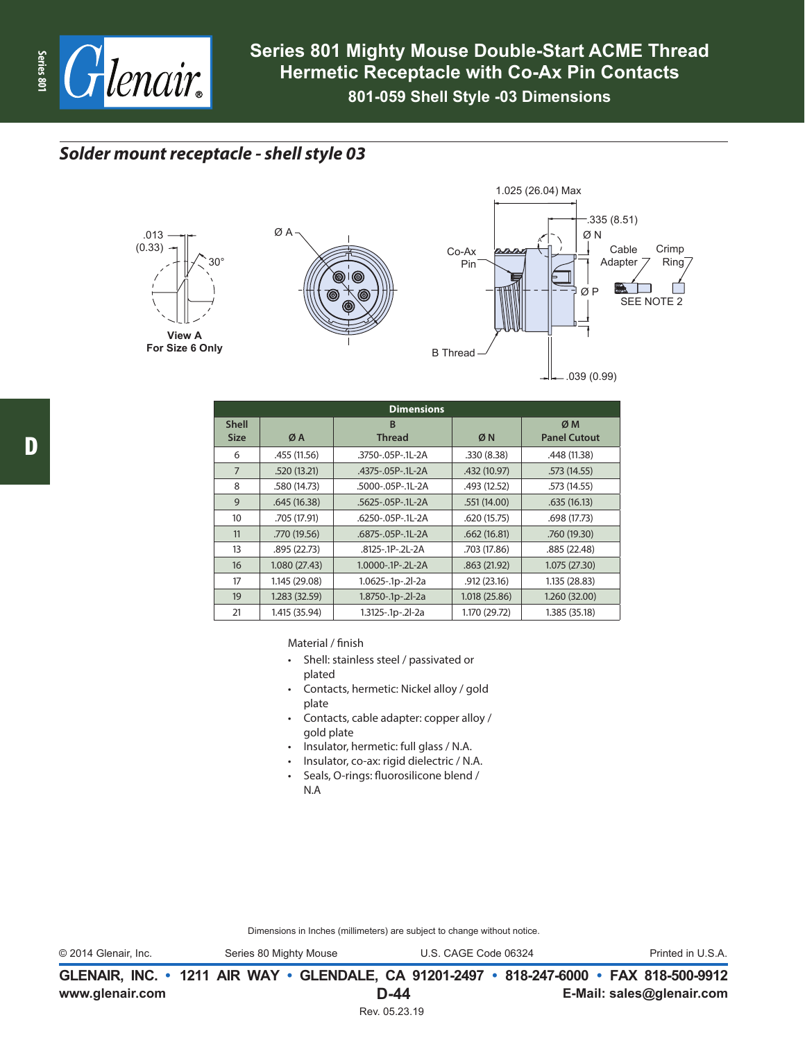

## *Solder mount receptacle - shell style 03*







| <b>Dimensions</b>           |                                           |                         |               |                           |  |  |
|-----------------------------|-------------------------------------------|-------------------------|---------------|---------------------------|--|--|
| <b>Shell</b><br><b>Size</b> | <sub>B</sub><br><b>Thread</b><br>ØN<br>ØA |                         |               | ØM<br><b>Panel Cutout</b> |  |  |
| 6                           | .455 (11.56)                              | .3750-.05P-.1L-2A       | .330(8.38)    | .448 (11.38)              |  |  |
| $\overline{7}$              | .520(13.21)                               | .4375-.05P-.1L-2A       | .432 (10.97)  | .573(14.55)               |  |  |
| 8                           | .580 (14.73)                              | .5000-.05P-.1L-2A       | .493 (12.52)  | .573 (14.55)              |  |  |
| 9                           | .645(16.38)                               | .5625-.05P-.1L-2A       | .551(14.00)   | .635(16.13)               |  |  |
| 10                          | .705 (17.91)                              | .6250-.05P-.1L-2A       | .620(15.75)   | .698 (17.73)              |  |  |
| 11                          | .770 (19.56)                              | .6875-.05P-.1L-2A       | .662(16.81)   | .760 (19.30)              |  |  |
| 13                          | .895 (22.73)                              | .8125-.1P-.2L-2A        | .703 (17.86)  | .885 (22.48)              |  |  |
| 16                          | 1.080(27.43)                              | $1.0000 - 1P - 2L - 2A$ | .863(21.92)   | 1.075(27.30)              |  |  |
| 17                          | 1.145 (29.08)                             | 1.0625-.1p-.2l-2a       | .912(23.16)   | 1.135 (28.83)             |  |  |
| 19                          | 1.283 (32.59)                             | 1.8750-.1p-.2l-2a       | 1.018 (25.86) | 1.260 (32.00)             |  |  |
| 21                          | 1.415 (35.94)                             | 1.3125-.1p-.2l-2a       | 1.170 (29.72) | 1.385 (35.18)             |  |  |

Material / finish

- Shell: stainless steel / passivated or plated
- Contacts, hermetic: Nickel alloy / gold plate
- Contacts, cable adapter: copper alloy / gold plate
- Insulator, hermetic: full glass / N.A.
- Insulator, co-ax: rigid dielectric / N.A.
- Seals, O-rings: fluorosilicone blend / N.A

Dimensions in Inches (millimeters) are subject to change without notice.

© 2014 Glenair, Inc. Series 80 Mighty Mouse U.S. CAGE Code 06324 Printed in U.S.A.

**www.glenair.com E-Mail: sales@glenair.com GLENAIR, INC. • 1211 AIR WAY • GLENDALE, CA 91201-2497 • 818-247-6000 • FAX 818-500-9912 D-44**

Rev. 05.23.19